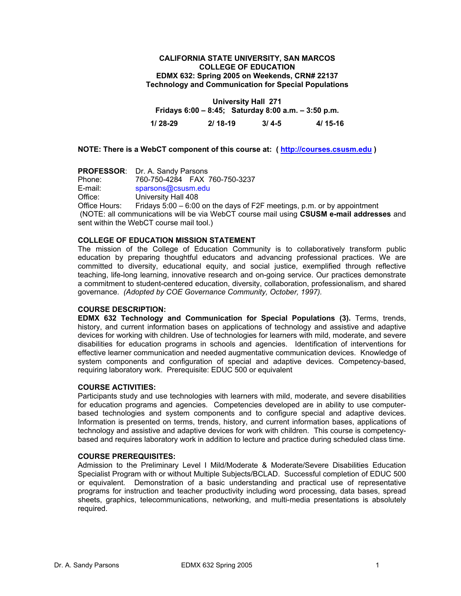#### **CALIFORNIA STATE UNIVERSITY, SAN MARCOS COLLEGE OF EDUCATION EDMX 632: Spring 2005 on Weekends, CRN# 22137 Technology and Communication for Special Populations**

**University Hall 271 Fridays 6:00 – 8:45; Saturday 8:00 a.m. – 3:50 p.m. 1/ 28-29 2/ 18-19 3/ 4-5 4/ 15-16** 

**NOTE: There is a WebCT component of this course at: ( http://courses.csusm.edu )** 

**PROFESSOR:** Dr. A. Sandy Parsons<br>Phone: 760-750-4284 FAX Phone: 760-750-4284 FAX 760-750-3237 E-mail: sparsons@csusm.edu Office: University Hall 408 Office Hours: Fridays 5:00 – 6:00 on the days of F2F meetings, p.m. or by appointment (NOTE: all communications will be via WebCT course mail using **CSUSM e-mail addresses** and sent within the WebCT course mail tool.)

## **COLLEGE OF EDUCATION MISSION STATEMENT**

The mission of the College of Education Community is to collaboratively transform public education by preparing thoughtful educators and advancing professional practices. We are committed to diversity, educational equity, and social justice, exemplified through reflective teaching, life-long learning, innovative research and on-going service. Our practices demonstrate a commitment to student-centered education, diversity, collaboration, professionalism, and shared governance. *(Adopted by COE Governance Community, October, 1997).* 

#### **COURSE DESCRIPTION:**

**EDMX 632 Technology and Communication for Special Populations (3).** Terms, trends, history, and current information bases on applications of technology and assistive and adaptive devices for working with children. Use of technologies for learners with mild, moderate, and severe disabilities for education programs in schools and agencies. Identification of interventions for effective learner communication and needed augmentative communication devices. Knowledge of system components and configuration of special and adaptive devices. Competency-based, requiring laboratory work. Prerequisite: EDUC 500 or equivalent

## **COURSE ACTIVITIES:**

Participants study and use technologies with learners with mild, moderate, and severe disabilities for education programs and agencies. Competencies developed are in ability to use computerbased technologies and system components and to configure special and adaptive devices. Information is presented on terms, trends, history, and current information bases, applications of technology and assistive and adaptive devices for work with children. This course is competencybased and requires laboratory work in addition to lecture and practice during scheduled class time.

#### **COURSE PREREQUISITES:**

Admission to the Preliminary Level I Mild/Moderate & Moderate/Severe Disabilities Education Specialist Program with or without Multiple Subjects/BCLAD. Successful completion of EDUC 500 or equivalent. Demonstration of a basic understanding and practical use of representative programs for instruction and teacher productivity including word processing, data bases, spread sheets, graphics, telecommunications, networking, and multi-media presentations is absolutely required.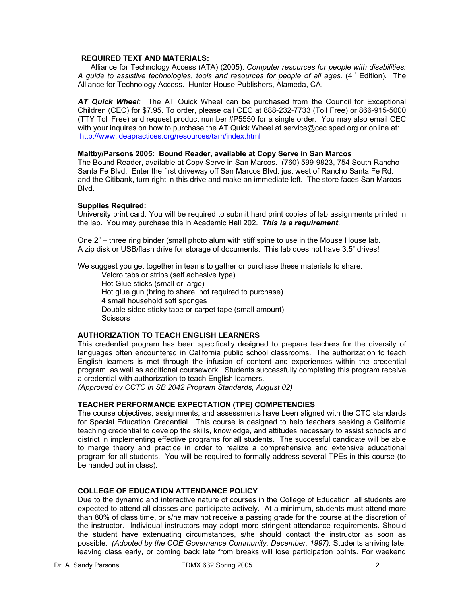#### **REQUIRED TEXT AND MATERIALS:**

 Alliance for Technology Access (ATA) (2005). *Computer resources for people with disabilities:*  A guide to assistive technologies, tools and resources for people of all ages. (4<sup>th</sup> Edition). The Alliance for Technology Access. Hunter House Publishers, Alameda, CA.

*AT Quick Wheel:* The AT Quick Wheel can be purchased from the Council for Exceptional Children (CEC) for \$7.95. To order, please call CEC at 888-232-7733 (Toll Free) or 866-915-5000 (TTY Toll Free) and request product number #P5550 for a single order. You may also email CEC with your inquires on how to purchase the AT Quick Wheel at service@cec.sped.org or online at: http://www.ideapractices.org/resources/tam/index.html

#### **Maltby/Parsons 2005: Bound Reader, available at Copy Serve in San Marcos**

The Bound Reader, available at Copy Serve in San Marcos. (760) 599-9823, 754 South Rancho Santa Fe Blvd. Enter the first driveway off San Marcos Blvd. just west of Rancho Santa Fe Rd. and the Citibank, turn right in this drive and make an immediate left. The store faces San Marcos Blvd.

#### **Supplies Required:**

University print card. You will be required to submit hard print copies of lab assignments printed in the lab. You may purchase this in Academic Hall 202. *This is a requirement*.

One 2" – three ring binder (small photo alum with stiff spine to use in the Mouse House lab. A zip disk or USB/flash drive for storage of documents. This lab does not have 3.5" drives!

We suggest you get together in teams to gather or purchase these materials to share.

 Velcro tabs or strips (self adhesive type) Hot Glue sticks (small or large) Hot glue gun (bring to share, not required to purchase) 4 small household soft sponges Double-sided sticky tape or carpet tape (small amount) **Scissors** 

# **AUTHORIZATION TO TEACH ENGLISH LEARNERS**

This credential program has been specifically designed to prepare teachers for the diversity of languages often encountered in California public school classrooms. The authorization to teach English learners is met through the infusion of content and experiences within the credential program, as well as additional coursework. Students successfully completing this program receive a credential with authorization to teach English learners.

*(Approved by CCTC in SB 2042 Program Standards, August 02)*

### **TEACHER PERFORMANCE EXPECTATION (TPE) COMPETENCIES**

The course objectives, assignments, and assessments have been aligned with the CTC standards for Special Education Credential. This course is designed to help teachers seeking a California teaching credential to develop the skills, knowledge, and attitudes necessary to assist schools and district in implementing effective programs for all students. The successful candidate will be able to merge theory and practice in order to realize a comprehensive and extensive educational program for all students. You will be required to formally address several TPEs in this course (to be handed out in class).

### **COLLEGE OF EDUCATION ATTENDANCE POLICY**

Due to the dynamic and interactive nature of courses in the College of Education, all students are expected to attend all classes and participate actively. At a minimum, students must attend more than 80% of class time, or s/he may not receive a passing grade for the course at the discretion of the instructor. Individual instructors may adopt more stringent attendance requirements. Should the student have extenuating circumstances, s/he should contact the instructor as soon as possible. *(Adopted by the COE Governance Community, December, 1997).* Students arriving late, leaving class early, or coming back late from breaks will lose participation points. For weekend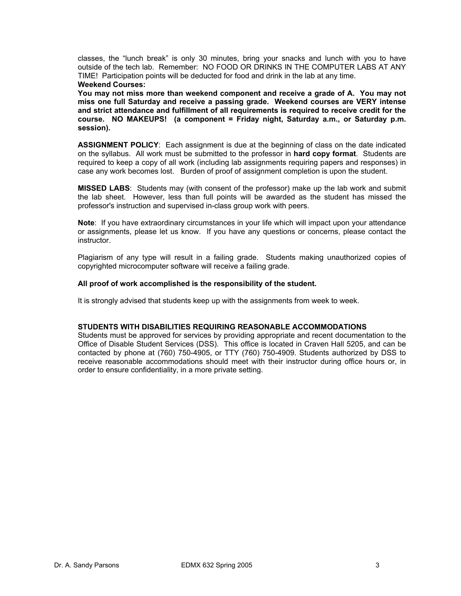classes, the "lunch break" is only 30 minutes, bring your snacks and lunch with you to have outside of the tech lab. Remember: NO FOOD OR DRINKS IN THE COMPUTER LABS AT ANY TIME! Participation points will be deducted for food and drink in the lab at any time.

#### **Weekend Courses:**

**You may not miss more than weekend component and receive a grade of A. You may not miss one full Saturday and receive a passing grade. Weekend courses are VERY intense and strict attendance and fulfillment of all requirements is required to receive credit for the course. NO MAKEUPS! (a component = Friday night, Saturday a.m., or Saturday p.m. session).** 

**ASSIGNMENT POLICY**: Each assignment is due at the beginning of class on the date indicated on the syllabus. All work must be submitted to the professor in **hard copy format**. Students are required to keep a copy of all work (including lab assignments requiring papers and responses) in case any work becomes lost. Burden of proof of assignment completion is upon the student.

**MISSED LABS**: Students may (with consent of the professor) make up the lab work and submit the lab sheet. However, less than full points will be awarded as the student has missed the professor's instruction and supervised in-class group work with peers.

**Note**: If you have extraordinary circumstances in your life which will impact upon your attendance or assignments, please let us know. If you have any questions or concerns, please contact the instructor.

Plagiarism of any type will result in a failing grade. Students making unauthorized copies of copyrighted microcomputer software will receive a failing grade.

#### **All proof of work accomplished is the responsibility of the student.**

It is strongly advised that students keep up with the assignments from week to week.

#### **STUDENTS WITH DISABILITIES REQUIRING REASONABLE ACCOMMODATIONS**

Students must be approved for services by providing appropriate and recent documentation to the Office of Disable Student Services (DSS). This office is located in Craven Hall 5205, and can be contacted by phone at (760) 750-4905, or TTY (760) 750-4909. Students authorized by DSS to receive reasonable accommodations should meet with their instructor during office hours or, in order to ensure confidentiality, in a more private setting.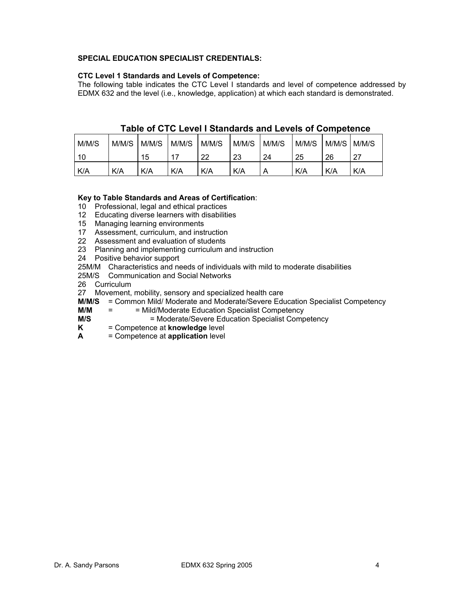# **SPECIAL EDUCATION SPECIALIST CREDENTIALS:**

# **CTC Level 1 Standards and Levels of Competence:**

The following table indicates the CTC Level I standards and level of competence addressed by EDMX 632 and the level (i.e., knowledge, application) at which each standard is demonstrated.

| M/M/S | M/M/S | M/M/S | M/M/S | M/M/S | M/M/S | M/M/S | M/M/S | M/M/S | M/M/S |
|-------|-------|-------|-------|-------|-------|-------|-------|-------|-------|
| 10    |       | 15    |       | 22    | 23    | 24    | 25    | 26    | - 27  |
| K/A   | K/A   | K/A   | K/A   | K/A   | K/A   | Α     | K/A   | K/A   | K/A   |

# **Table of CTC Level I Standards and Levels of Competence**

# **Key to Table Standards and Areas of Certification**:

10 Professional, legal and ethical practices

- 12 Educating diverse learners with disabilities
- 15 Managing learning environments
- 17 Assessment, curriculum, and instruction
- 22 Assessment and evaluation of students
- 23 Planning and implementing curriculum and instruction
- 24 Positive behavior support
- 25M/M Characteristics and needs of individuals with mild to moderate disabilities
- 25M/S Communication and Social Networks
- 26 Curriculum
- 27 Movement, mobility, sensory and specialized health care
- **M/M/S** = Common Mild/ Moderate and Moderate/Severe Education Specialist Competency
- **M/M** = = Mild/Moderate Education Specialist Competency
- **M/S** = Moderate/Severe Education Specialist Competency<br>**K** = Competence at **knowledge** level
- **F**  $\epsilon$  **Competence at knowledge** level
- **A** = Competence at **application** level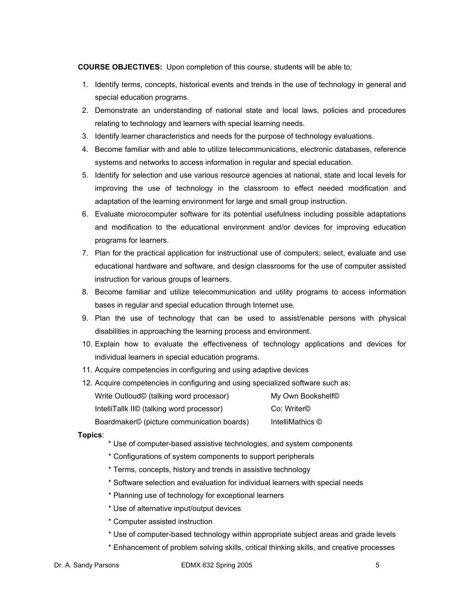**COURSE OBJECTIVES:** Upon completion of this course, students will be able to:

- 1. Identify terms, concepts, historical events and trends in the use of technology in general and special education programs.
- 2. Demonstrate an understanding of national state and local laws, policies and procedures relating to technology and learners with special learning needs.
- 3. Identify learner characteristics and needs for the purpose of technology evaluations.
- 4. Become familiar with and able to utilize telecommunications, electronic databases, reference systems and networks to access information in regular and special education.
- 5. Identify for selection and use various resource agencies at national, state and local levels for improving the use of technology in the classroom to effect needed modification and adaptation of the learning environment for large and small group instruction.
- 6. Evaluate microcomputer software for its potential usefulness including possible adaptations and modification to the educational environment and/or devices for improving education programs for learners.
- 7. Plan for the practical application for instructional use of computers; select, evaluate and use educational hardware and software, and design classrooms for the use of computer assisted instruction for various groups of learners.
- 8. Become familiar and utilize telecommunication and utility programs to access information bases in regular and special education through Internet use.
- 9. Plan the use of technology that can be used to assist/enable persons with physical disabilities in approaching the learning process and environment.
- 10. Explain how to evaluate the effectiveness of technology applications and devices for individual learners in special education programs.
- 11. Acquire competencies in configuring and using adaptive devices
- 12. Acquire competencies in configuring and using specialized software such as: Write Outloud© (talking word processor) My Own Bookshelf© IntelliTallk II© (talking word processor) Co: Writer© Boardmaker© (picture communication boards) IntelliMathics ©

### **Topics**:

- \* Use of computer-based assistive technologies, and system components
- \* Configurations of system components to support peripherals
- \* Terms, concepts, history and trends in assistive technology
- \* Software selection and evaluation for individual learners with special needs
- \* Planning use of technology for exceptional learners
- \* Use of alternative input/output devices
- \* Computer assisted instruction
- \* Use of computer-based technology within appropriate subject areas and grade levels
- \* Enhancement of problem solving skills, critical thinking skills, and creative processes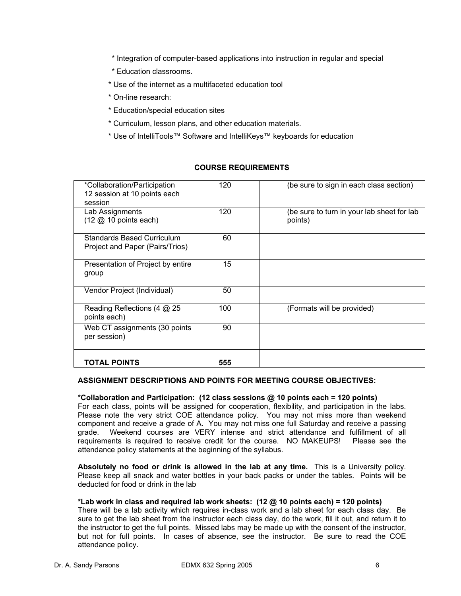- \* Integration of computer-based applications into instruction in regular and special
- \* Education classrooms.
- \* Use of the internet as a multifaceted education tool
- \* On-line research:
- \* Education/special education sites
- \* Curriculum, lesson plans, and other education materials.
- \* Use of IntelliTools™ Software and IntelliKeys™ keyboards for education

# **COURSE REQUIREMENTS**

| *Collaboration/Participation<br>12 session at 10 points each              | 120 | (be sure to sign in each class section)               |
|---------------------------------------------------------------------------|-----|-------------------------------------------------------|
| session                                                                   |     |                                                       |
| Lab Assignments<br>$(12 \text{ } \textcircled{2} 10 \text{ points each})$ | 120 | (be sure to turn in your lab sheet for lab<br>points) |
| <b>Standards Based Curriculum</b><br>Project and Paper (Pairs/Trios)      | 60  |                                                       |
| Presentation of Project by entire<br>group                                | 15  |                                                       |
| Vendor Project (Individual)                                               | 50  |                                                       |
| Reading Reflections (4 @ 25<br>points each)                               | 100 | (Formats will be provided)                            |
| Web CT assignments (30 points<br>per session)                             | 90  |                                                       |
| <b>TOTAL POINTS</b>                                                       | 555 |                                                       |

# **ASSIGNMENT DESCRIPTIONS AND POINTS FOR MEETING COURSE OBJECTIVES:**

### **\*Collaboration and Participation: (12 class sessions @ 10 points each = 120 points)**

For each class, points will be assigned for cooperation, flexibility, and participation in the labs. Please note the very strict COE attendance policy. You may not miss more than weekend component and receive a grade of A. You may not miss one full Saturday and receive a passing grade. Weekend courses are VERY intense and strict attendance and fulfillment of all requirements is required to receive credit for the course. NO MAKEUPS! Please see the attendance policy statements at the beginning of the syllabus.

**Absolutely no food or drink is allowed in the lab at any time.** This is a University policy. Please keep all snack and water bottles in your back packs or under the tables. Points will be deducted for food or drink in the lab

# **\*Lab work in class and required lab work sheets: (12 @ 10 points each) = 120 points)**

There will be a lab activity which requires in-class work and a lab sheet for each class day. Be sure to get the lab sheet from the instructor each class day, do the work, fill it out, and return it to the instructor to get the full points. Missed labs may be made up with the consent of the instructor, but not for full points. In cases of absence, see the instructor. Be sure to read the COE attendance policy.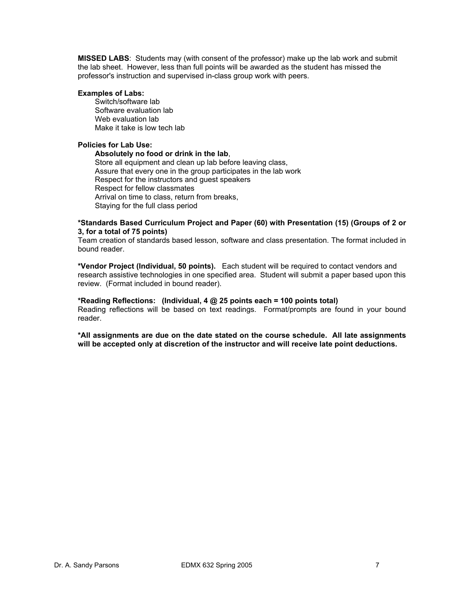**MISSED LABS**: Students may (with consent of the professor) make up the lab work and submit the lab sheet. However, less than full points will be awarded as the student has missed the professor's instruction and supervised in-class group work with peers.

#### **Examples of Labs:**

Switch/software lab Software evaluation lab Web evaluation lab Make it take is low tech lab

#### **Policies for Lab Use:**

#### **Absolutely no food or drink in the lab**,

Store all equipment and clean up lab before leaving class, Assure that every one in the group participates in the lab work Respect for the instructors and guest speakers Respect for fellow classmates Arrival on time to class, return from breaks, Staying for the full class period

#### **\*Standards Based Curriculum Project and Paper (60) with Presentation (15) (Groups of 2 or 3, for a total of 75 points)**

Team creation of standards based lesson, software and class presentation. The format included in bound reader.

**\*Vendor Project (Individual, 50 points).** Each student will be required to contact vendors and research assistive technologies in one specified area. Student will submit a paper based upon this review. (Format included in bound reader).

# **\*Reading Reflections: (Individual, 4 @ 25 points each = 100 points total)**

Reading reflections will be based on text readings. Format/prompts are found in your bound reader.

**\*All assignments are due on the date stated on the course schedule. All late assignments will be accepted only at discretion of the instructor and will receive late point deductions.**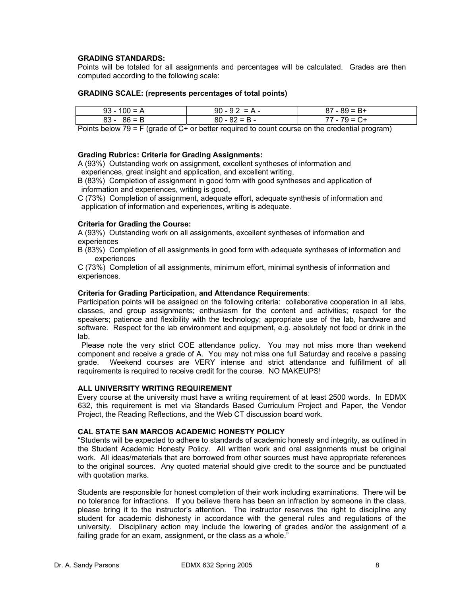# **GRADING STANDARDS:**

Points will be totaled for all assignments and percentages will be calculated. Grades are then computed according to the following scale:

### **GRADING SCALE: (represents percentages of total points)**

| $93 - 100 = A$ | $90 - 92 = A -$ | $87 - 89 = B +$ |
|----------------|-----------------|-----------------|
| $83 - 86 = B$  | $80 - 82 = B -$ | 77 - 79 = C+    |

Points below 79 = F (grade of C+ or better required to count course on the credential program)

### **Grading Rubrics: Criteria for Grading Assignments:**

A (93%) Outstanding work on assignment, excellent syntheses of information and experiences, great insight and application, and excellent writing,

B (83%) Completion of assignment in good form with good syntheses and application of information and experiences, writing is good,

C (73%) Completion of assignment, adequate effort, adequate synthesis of information and application of information and experiences, writing is adequate.

#### **Criteria for Grading the Course:**

A (93%) Outstanding work on all assignments, excellent syntheses of information and experiences

B (83%) Completion of all assignments in good form with adequate syntheses of information and experiences

C (73%) Completion of all assignments, minimum effort, minimal synthesis of information and experiences.

#### **Criteria for Grading Participation, and Attendance Requirements**:

Participation points will be assigned on the following criteria: collaborative cooperation in all labs, classes, and group assignments; enthusiasm for the content and activities; respect for the speakers; patience and flexibility with the technology; appropriate use of the lab, hardware and software. Respect for the lab environment and equipment, e.g. absolutely not food or drink in the lab.

 Please note the very strict COE attendance policy. You may not miss more than weekend component and receive a grade of A. You may not miss one full Saturday and receive a passing grade. Weekend courses are VERY intense and strict attendance and fulfillment of all requirements is required to receive credit for the course. NO MAKEUPS!

#### **ALL UNIVERSITY WRITING REQUIREMENT**

Every course at the university must have a writing requirement of at least 2500 words. In EDMX 632, this requirement is met via Standards Based Curriculum Project and Paper, the Vendor Project, the Reading Reflections, and the Web CT discussion board work.

# **CAL STATE SAN MARCOS ACADEMIC HONESTY POLICY**

"Students will be expected to adhere to standards of academic honesty and integrity, as outlined in the Student Academic Honesty Policy. All written work and oral assignments must be original work. All ideas/materials that are borrowed from other sources must have appropriate references to the original sources. Any quoted material should give credit to the source and be punctuated with quotation marks.

Students are responsible for honest completion of their work including examinations. There will be no tolerance for infractions. If you believe there has been an infraction by someone in the class, please bring it to the instructor's attention. The instructor reserves the right to discipline any student for academic dishonesty in accordance with the general rules and regulations of the university. Disciplinary action may include the lowering of grades and/or the assignment of a failing grade for an exam, assignment, or the class as a whole."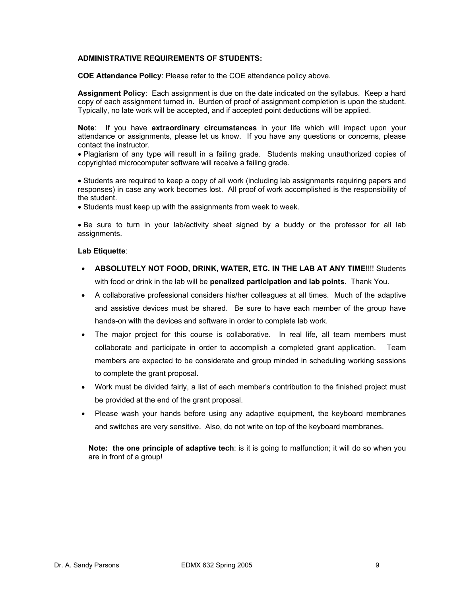# **ADMINISTRATIVE REQUIREMENTS OF STUDENTS:**

**COE Attendance Policy**: Please refer to the COE attendance policy above.

**Assignment Policy**: Each assignment is due on the date indicated on the syllabus. Keep a hard copy of each assignment turned in. Burden of proof of assignment completion is upon the student. Typically, no late work will be accepted, and if accepted point deductions will be applied.

**Note**: If you have **extraordinary circumstances** in your life which will impact upon your attendance or assignments, please let us know. If you have any questions or concerns, please contact the instructor.

• Plagiarism of any type will result in a failing grade. Students making unauthorized copies of copyrighted microcomputer software will receive a failing grade.

• Students are required to keep a copy of all work (including lab assignments requiring papers and responses) in case any work becomes lost. All proof of work accomplished is the responsibility of the student.

• Students must keep up with the assignments from week to week.

• Be sure to turn in your lab/activity sheet signed by a buddy or the professor for all lab assignments.

#### **Lab Etiquette**:

- **ABSOLUTELY NOT FOOD, DRINK, WATER, ETC. IN THE LAB AT ANY TIME**!!!! Students with food or drink in the lab will be **penalized participation and lab points**. Thank You.
- A collaborative professional considers his/her colleagues at all times. Much of the adaptive and assistive devices must be shared. Be sure to have each member of the group have hands-on with the devices and software in order to complete lab work.
- The major project for this course is collaborative. In real life, all team members must collaborate and participate in order to accomplish a completed grant application. Team members are expected to be considerate and group minded in scheduling working sessions to complete the grant proposal.
- Work must be divided fairly, a list of each member's contribution to the finished project must be provided at the end of the grant proposal.
- Please wash your hands before using any adaptive equipment, the keyboard membranes and switches are very sensitive. Also, do not write on top of the keyboard membranes.

**Note: the one principle of adaptive tech**: is it is going to malfunction; it will do so when you are in front of a group!